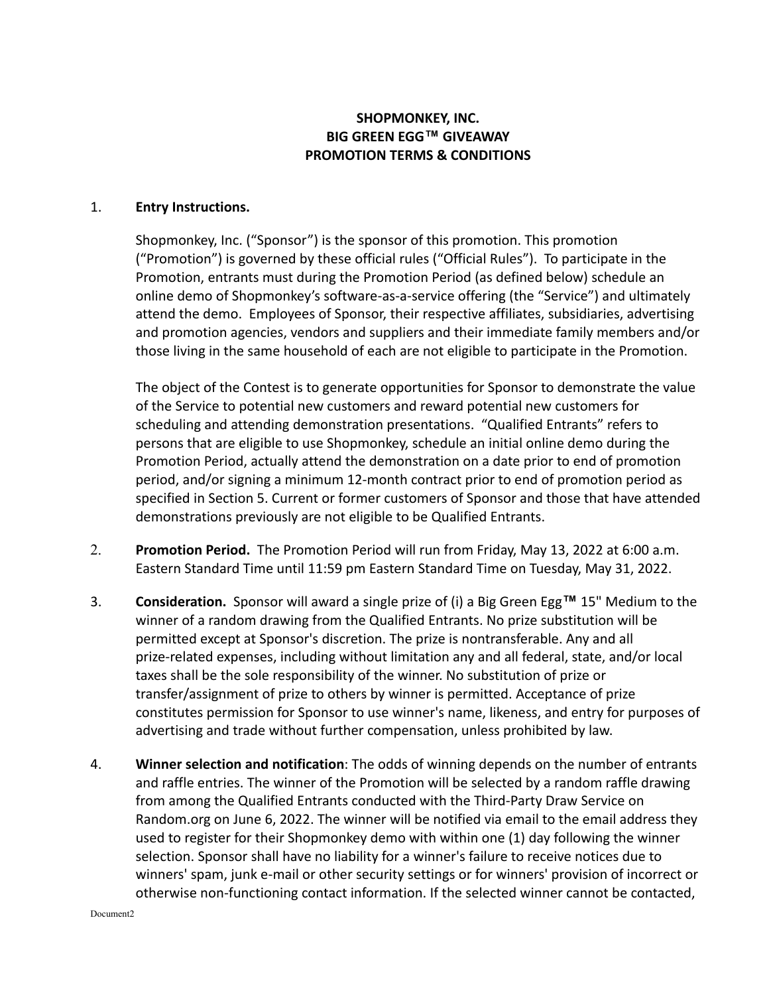## **SHOPMONKEY, INC. BIG GREEN EGG™ GIVEAWAY PROMOTION TERMS & CONDITIONS**

## 1. **Entry Instructions.**

Shopmonkey, Inc. ("Sponsor") is the sponsor of this promotion. This promotion ("Promotion") is governed by these official rules ("Official Rules"). To participate in the Promotion, entrants must during the Promotion Period (as defined below) schedule an online demo of Shopmonkey's software-as-a-service offering (the "Service") and ultimately attend the demo. Employees of Sponsor, their respective affiliates, subsidiaries, advertising and promotion agencies, vendors and suppliers and their immediate family members and/or those living in the same household of each are not eligible to participate in the Promotion.

The object of the Contest is to generate opportunities for Sponsor to demonstrate the value of the Service to potential new customers and reward potential new customers for scheduling and attending demonstration presentations. "Qualified Entrants" refers to persons that are eligible to use Shopmonkey, schedule an initial online demo during the Promotion Period, actually attend the demonstration on a date prior to end of promotion period, and/or signing a minimum 12-month contract prior to end of promotion period as specified in Section 5. Current or former customers of Sponsor and those that have attended demonstrations previously are not eligible to be Qualified Entrants.

- 2. **Promotion Period.** The Promotion Period will run from Friday, May 13, 2022 at 6:00 a.m. Eastern Standard Time until 11:59 pm Eastern Standard Time on Tuesday, May 31, 2022.
- 3. **Consideration.** Sponsor will award a single prize of (i) a Big Green Egg**™** 15" Medium to the winner of a random drawing from the Qualified Entrants. No prize substitution will be permitted except at Sponsor's discretion. The prize is nontransferable. Any and all prize-related expenses, including without limitation any and all federal, state, and/or local taxes shall be the sole responsibility of the winner. No substitution of prize or transfer/assignment of prize to others by winner is permitted. Acceptance of prize constitutes permission for Sponsor to use winner's name, likeness, and entry for purposes of advertising and trade without further compensation, unless prohibited by law.
- 4. **Winner selection and notification**: The odds of winning depends on the number of entrants and raffle entries. The winner of the Promotion will be selected by a random raffle drawing from among the Qualified Entrants conducted with the Third-Party Draw Service on Random.org on June 6, 2022. The winner will be notified via email to the email address they used to register for their Shopmonkey demo with within one (1) day following the winner selection. Sponsor shall have no liability for a winner's failure to receive notices due to winners' spam, junk e-mail or other security settings or for winners' provision of incorrect or otherwise non-functioning contact information. If the selected winner cannot be contacted,